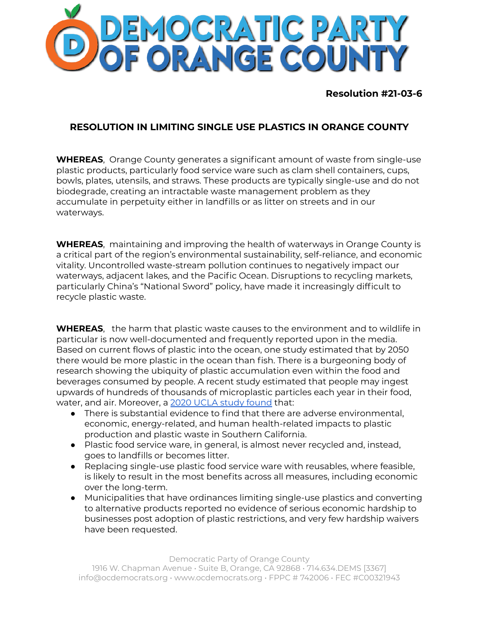

**Resolution #21-03-6**

## **RESOLUTION IN LIMITING SINGLE USE PLASTICS IN ORANGE COUNTY**

**WHEREAS**, Orange County generates a significant amount of waste from single-use plastic products, particularly food service ware such as clam shell containers, cups, bowls, plates, utensils, and straws. These products are typically single-use and do not biodegrade, creating an intractable waste management problem as they accumulate in perpetuity either in landfills or as litter on streets and in our waterways.

**WHEREAS**, maintaining and improving the health of waterways in Orange County is a critical part of the region's environmental sustainability, self-reliance, and economic vitality. Uncontrolled waste-stream pollution continues to negatively impact our waterways, adjacent lakes, and the Pacific Ocean. Disruptions to recycling markets, particularly China's "National Sword" policy, have made it increasingly difficult to recycle plastic waste.

**WHEREAS**, the harm that plastic waste causes to the environment and to wildlife in particular is now well-documented and frequently reported upon in the media. Based on current flows of plastic into the ocean, one study estimated that by 2050 there would be more plastic in the ocean than fish. There is a burgeoning body of research showing the ubiquity of plastic accumulation even within the food and beverages consumed by people. A recent study estimated that people may ingest upwards of hundreds of thousands of microplastic particles each year in their food, water, and air. Moreover, a 2020 UCLA study [found](https://drive.google.com/file/d/0B2CQykYdKCUNM29TaEhzWGlJeWwySUJtUVAwMmxwV1lnRURR/view) that:

- There is substantial evidence to find that there are adverse environmental, economic, energy-related, and human health-related impacts to plastic production and plastic waste in Southern California.
- Plastic food service ware, in general, is almost never recycled and, instead, goes to landfills or becomes litter.
- Replacing single-use plastic food service ware with reusables, where feasible, is likely to result in the most benefits across all measures, including economic over the long-term.
- Municipalities that have ordinances limiting single-use plastics and converting to alternative products reported no evidence of serious economic hardship to businesses post adoption of plastic restrictions, and very few hardship waivers have been requested.

## Democratic Party of Orange County